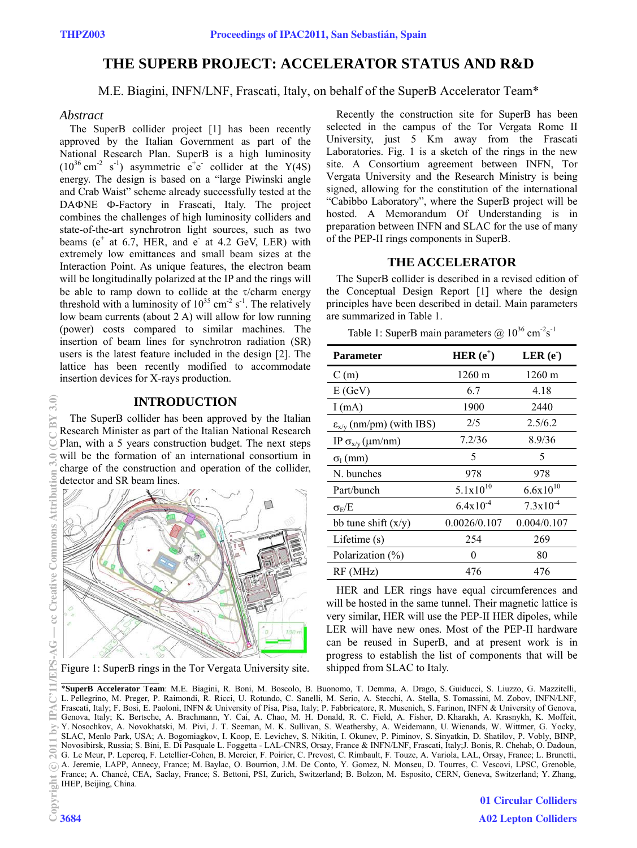# **THE SUPERB PROJECT: ACCELERATOR STATUS AND R&D**

M.E. Biagini, INFN/LNF, Frascati, Italy, on behalf of the SuperB Accelerator Team\*

#### *Abstract*

The SuperB collider project [1] has been recently approved by the Italian Government as part of the National Research Plan. SuperB is a high luminosity  $(10^{36} \text{ cm}^{-2} \text{ s}^{-1})$  asymmetric e<sup>+</sup>e<sup>-</sup> collider at the Y(4S) energy. The design is based on a "large Piwinski angle and Crab Waist" scheme already successfully tested at the DAΦNE Φ-Factory in Frascati, Italy. The project combines the challenges of high luminosity colliders and state-of-the-art synchrotron light sources, such as two beams ( $e^+$  at 6.7, HER, and  $e^-$  at 4.2 GeV, LER) with extremely low emittances and small beam sizes at the Interaction Point. As unique features, the electron beam will be longitudinally polarized at the IP and the rings will be able to ramp down to collide at the  $\tau$ /charm energy threshold with a luminosity of  $10^{35}$  cm<sup>-2</sup> s<sup>-1</sup>. The relatively low beam currents (about 2 A) will allow for low running (power) costs compared to similar machines. The insertion of beam lines for synchrotron radiation (SR) users is the latest feature included in the design [2]. The lattice has been recently modified to accommodate insertion devices for X-rays production.

### **INTRODUCTION**

The SuperB collider has been approved by the Italian Research Minister as part of the Italian National Research Plan, with a 5 years construction budget. The next steps will be the formation of an international consortium in charge of the construction and operation of the collider, detector and SR beam lines.



Figure 1: SuperB rings in the Tor Vergata University site.

Recently the construction site for SuperB has been selected in the campus of the Tor Vergata Rome II University, just 5 Km away from the Frascati Laboratories. Fig. 1 is a sketch of the rings in the new site. A Consortium agreement between INFN, Tor Vergata University and the Research Ministry is being signed, allowing for the constitution of the international "Cabibbo Laboratory", where the SuperB project will be hosted. A Memorandum Of Understanding is in preparation between INFN and SLAC for the use of many of the PEP-II rings components in SuperB.

# **THE ACCELERATOR**

The SuperB collider is described in a revised edition of the Conceptual Design Report [1] where the design principles have been described in detail. Main parameters are summarized in Table 1.

Table 1: SuperB main parameters  $\omega$  10<sup>36</sup> cm<sup>-2</sup>s<sup>-1</sup>

| <b>Parameter</b>                       | HER $(e^+)$      | LER(e)               |
|----------------------------------------|------------------|----------------------|
| C(m)                                   | $1260 \text{ m}$ | $1260 \text{ m}$     |
| E(GeV)                                 | 6.7              | 4.18                 |
| I(mA)                                  | 1900             | 2440                 |
| $\varepsilon_{x/y}$ (nm/pm) (with IBS) | 2/5              | 2.5/6.2              |
| IP $\sigma_{x/y}(\mu m/nm)$            | 7.2/36           | 8.9/36               |
| $\sigma$ <sub>1</sub> (mm)             | 5                | 5                    |
| N. bunches                             | 978              | 978                  |
| Part/bunch                             | $5.1x10^{10}$    | $6.6x10^{10}$        |
| $\sigma_E/E$                           | $6.4x10^{-4}$    | $7.3 \times 10^{-4}$ |
| bb tune shift $(x/y)$                  | 0.0026/0.107     | 0.004/0.107          |
| Lifetime $(s)$                         | 254              | 269                  |
| Polarization (%)                       | 0                | 80                   |
| RF (MHz)                               | 476              | 476                  |

HER and LER rings have equal circumferences and will be hosted in the same tunnel. Their magnetic lattice is very similar, HER will use the PEP-II HER dipoles, while LER will have new ones. Most of the PEP-II hardware can be reused in SuperB, and at present work is in progress to establish the list of components that will be shipped from SLAC to Italy.

\***SuperB Accelerator Team**: M.E. Biagini, R. Boni, M. Boscolo, B. Buonomo, T. Demma, A. Drago, S. Guiducci, S. Liuzzo, G. Mazzitelli, L. Pellegrino, M. Preger, P. Raimondi, R. Ricci, U. Rotundo, C. Sanelli, M. Serio, A. Stecchi, A. Stella, S. Tomassini, M. Zobov, INFN/LNF, Frascati, Italy; F. Bosi, E. Paoloni, INFN & University of Pisa, Pisa, Italy; P. Fabbricatore, R. Musenich, S. Farinon, INFN & University of Genova, Genova, Italy; K. Bertsche, A. Brachmann, Y. Cai, A. Chao, M. H. Donald, R. C. Field, A. Fisher, D. Kharakh, A. Krasnykh, K. Moffeit, Y. Nosochkov, A. Novokhatski, M. Pivi, J. T. Seeman, M. K. Sullivan, S. Weathersby, A. Weidemann, U. Wienands, W. Wittmer, G. Yocky, SLAC, Menlo Park, USA; A. Bogomiagkov, I. Koop, E. Levichev, S. Nikitin, I. Okunev, P. Piminov, S. Sinyatkin, D. Shatilov, P. Vobly, BINP, Novosibirsk, Russia; S. Bini, E. Di Pasquale L. Foggetta - LAL-CNRS, Orsay, France & INFN/LNF, Frascati, Italy;J. Bonis, R. Chehab, O. Dadoun, G. Le Meur, P. Lepercq, F. Letellier-Cohen, B. Mercier, F. Poirier, C. Prevost, C. Rimbault, F. Touze, A. Variola, LAL, Orsay, France; L. Brunetti, A. Jeremie, LAPP, Annecy, France; M. Baylac, O. Bourrion, J.M. De Conto, Y. Gomez, N. Monseu, D. Tourres, C. Vescovi, LPSC, Grenoble, France; A. Chancé, CEA, Saclay, France; S. Bettoni, PSI, Zurich, Switzerland; B. Bolzon, M. Esposito, CERN, Geneva, Switzerland; Y. Zhang, IHEP, Beijing, China.  $\frac{1}{2}$  Trance<br>Example 3684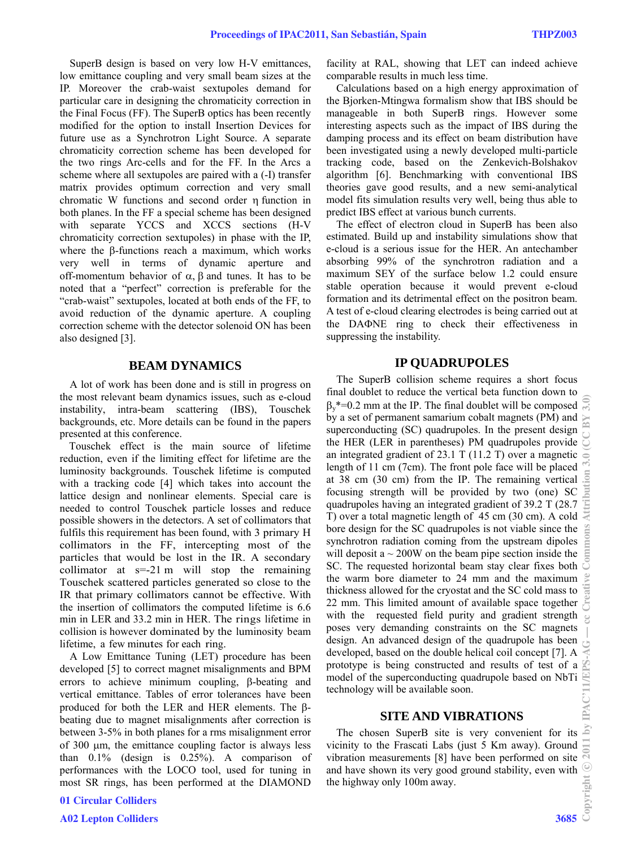SuperB design is based on very low H-V emittances, low emittance coupling and very small beam sizes at the IP. Moreover the crab-waist sextupoles demand for particular care in designing the chromaticity correction in the Final Focus (FF). The SuperB optics has been recently modified for the option to install Insertion Devices for future use as a Synchrotron Light Source. A separate chromaticity correction scheme has been developed for the two rings Arc-cells and for the FF. In the Arcs a scheme where all sextupoles are paired with a (-I) transfer matrix provides optimum correction and very small chromatic W functions and second order  $\eta$  function in both planes. In the FF a special scheme has been designed with separate YCCS and XCCS sections (H-V chromaticity correction sextupoles) in phase with the IP, where the  $\beta$ -functions reach a maximum, which works very well in terms of dynamic aperture and off-momentum behavior of  $\alpha$ ,  $\beta$  and tunes. It has to be noted that a "perfect" correction is preferable for the "crab-waist" sextupoles, located at both ends of the FF, to avoid reduction of the dynamic aperture. A coupling correction scheme with the detector solenoid ON has been also designed [3].

#### **BEAM DYNAMICS**

A lot of work has been done and is still in progress on the most relevant beam dynamics issues, such as e-cloud instability, intra-beam scattering (IBS), Touschek backgrounds, etc. More details can be found in the papers presented at this conference.

Touschek effect is the main source of lifetime reduction, even if the limiting effect for lifetime are the luminosity backgrounds. Touschek lifetime is computed with a tracking code [4] which takes into account the lattice design and nonlinear elements. Special care is needed to control Touschek particle losses and reduce possible showers in the detectors. A set of collimators that fulfils this requirement has been found, with 3 primary H collimators in the FF, intercepting most of the particles that would be lost in the IR. A secondary collimator at  $s=21 \text{ m}$  will stop the remaining Touschek scattered particles generated so close to the IR that primary collimators cannot be effective. With the insertion of collimators the computed lifetime is 6.6 min in LER and 33.2 min in HER. The rings lifetime in collision is however dominated by the luminosity beam lifetime, a few minutes for each ring.

A Low Emittance Tuning (LET) procedure has been developed [5] to correct magnet misalignments and BPM errors to achieve minimum coupling,  $\beta$ -beating and vertical emittance. Tables of error tolerances have been produced for both the LER and HER elements. The  $\beta$ beating due to magnet misalignments after correction is between 3-5% in both planes for a rms misalignment error of  $300 \mu m$ , the emittance coupling factor is always less than 0.1% (design is 0.25%). A comparison of performances with the LOCO tool, used for tuning in most SR rings, has been performed at the DIAMOND facility at RAL, showing that LET can indeed achieve comparable results in much less time.

Calculations based on a high energy approximation of the Bjorken-Mtingwa formalism show that IBS should be manageable in both SuperB rings. However some interesting aspects such as the impact of IBS during the damping process and its effect on beam distribution have been investigated using a newly developed multi-particle tracking code, based on the Zenkevich-Bolshakov algorithm [6]. Benchmarking with conventional IBS theories gave good results, and a new semi-analytical model fits simulation results very well, being thus able to predict IBS effect at various bunch currents.

The effect of electron cloud in SuperB has been also estimated. Build up and instability simulations show that e-cloud is a serious issue for the HER. An antechamber absorbing 99% of the synchrotron radiation and a maximum SEY of the surface below 1.2 could ensure stable operation because it would prevent e-cloud formation and its detrimental effect on the positron beam. A test of e-cloud clearing electrodes is being carried out at the DANE ring to check their effectiveness in suppressing the instability.

#### **IP QUADRUPOLES**

The SuperB collision scheme requires a short focus final doublet to reduce the vertical beta function down to  $\beta$ <sup>\*</sup>=0.2 mm at the IP. The final doublet will be composed by a set of permanent samarium cobalt magnets (PM) and superconducting (SC) quadrupoles. In the present design the HER (LER in parentheses) PM quadrupoles provide an integrated gradient of 23.1 T (11.2 T) over a magnetic length of 11 cm (7cm). The front pole face will be placed at 38 cm (30 cm) from the IP. The remaining vertical focusing strength will be provided by two (one) SC quadrupoles having an integrated gradient of 39.2 T (28.7 T) over a total magnetic length of 45 cm (30 cm). A cold bore design for the SC quadrupoles is not viable since the synchrotron radiation coming from the upstream dipoles will deposit a  $\sim$  200W on the beam pipe section inside the SC. The requested horizontal beam stay clear fixes both the warm bore diameter to 24 mm and the maximum thickness allowed for the cryostat and the SC cold mass to 22 mm. This limited amount of available space together with the requested field purity and gradient strength poses very demanding constraints on the SC magnets design. An advanced design of the quadrupole has been developed, based on the double helical coil concept [7]. A prototype is being constructed and results of test of a model of the superconducting quadrupole based on NbTi technology will be available soon.

#### **SITE AND VIBRATIONS**

The chosen SuperB site is very convenient for its vicinity to the Frascati Labs (just 5 Km away). Ground vibration measurements [8] have been performed on site and have shown its very good ground stability, even with the highway only 100m away.<br>the highway only 100m away. the highway only 100m away.